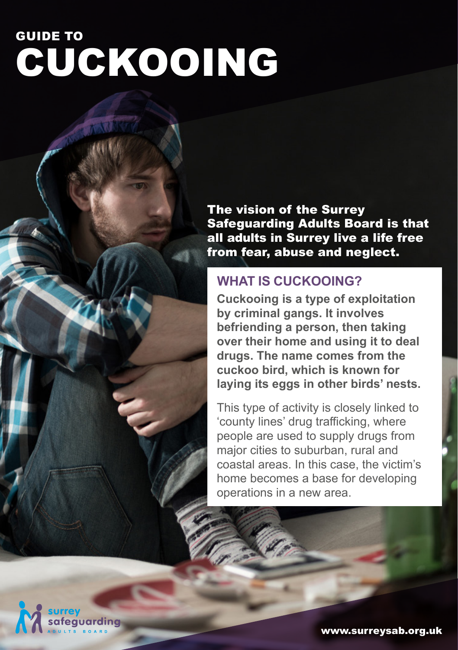# CUCKOOING GUIDE TO

auardina

The vision of the Surrey Safeguarding Adults Board is that all adults in Surrey live a life free from fear, abuse and neglect.

#### **WHAT IS CUCKOOING?**

**Cuckooing is a type of exploitation by criminal gangs. It involves befriending a person, then taking over their home and using it to deal drugs. The name comes from the cuckoo bird, which is known for laying its eggs in other birds' nests.** 

This type of activity is closely linked to 'county lines' drug trafficking, where people are used to supply drugs from major cities to suburban, rural and coastal areas. In this case, the victim's home becomes a base for developing operations in a new area.

www.surreysab.org.uk